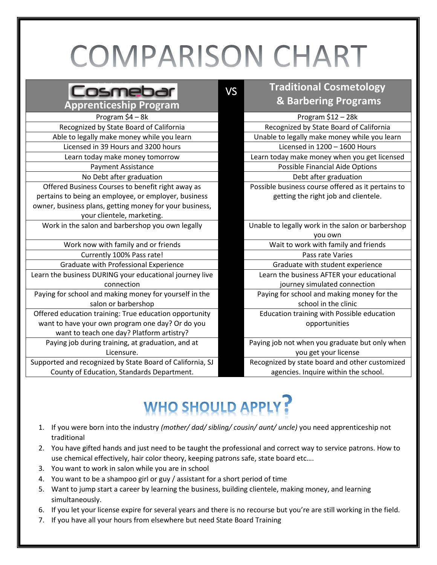## **COMPARISON CHART**

VS

|--|

**Apprenticeship Program** Program \$4 – 8k Program \$12 – 28k Recognized by State Board of California **Recognized by State Board of California** Able to legally make money while you learn Unable to legally make money while you learn Licensed in 39 Hours and 3200 hours Licensed in 1200 – 1600 Hours No Debt after graduation **Debt after graduation** Debt after graduation Offered Business Courses to benefit right away as pertains to being an employee, or employer, business owner, business plans, getting money for your business, your clientele, marketing.

Work in the salon and barbershop you own legally **Example 10** Unable to legally work in the salon or barbershop

Work now with family and or friends Wait to work with family and friends Currently 100% Pass rate! Pass rate Varies and Pass rate Varies Graduate with Professional Experience Graduate with student experience Learn the business DURING your educational journey live connection Paying for school and making money for yourself in the salon or barbershop Offered education training: True education opportunity want to have your own program one day? Or do you want to teach one day? Platform artistry? Paying job during training, at graduation, and at Licensure.

Supported and recognized by State Board of California, SJ County of Education, Standards Department.

## **Traditional Cosmetology & Barbering Programs**

Learn today make money tomorrow Learn today make money when you get licensed Payment Assistance **Possible Financial Aide Options** Possible business course offered as it pertains to getting the right job and clientele.

you own

- 
- Learn the business AFTER your educational

journey simulated connection

Paying for school and making money for the school in the clinic

Education training with Possible education opportunities

Paying job not when you graduate but only when you get your license

Recognized by state board and other customized agencies. Inquire within the school.

## WHO SHOULD APPLY?

- 1. If you were born into the industry *(mother/ dad/ sibling/ cousin/ aunt/ uncle)* you need apprenticeship not traditional
- 2. You have gifted hands and just need to be taught the professional and correct way to service patrons. How to use chemical effectively, hair color theory, keeping patrons safe, state board etc….
- 3. You want to work in salon while you are in school
- 4. You want to be a shampoo girl or guy / assistant for a short period of time
- 5. Want to jump start a career by learning the business, building clientele, making money, and learning simultaneously.
- 6. If you let your license expire for several years and there is no recourse but you're are still working in the field.
- 7. If you have all your hours from elsewhere but need State Board Training